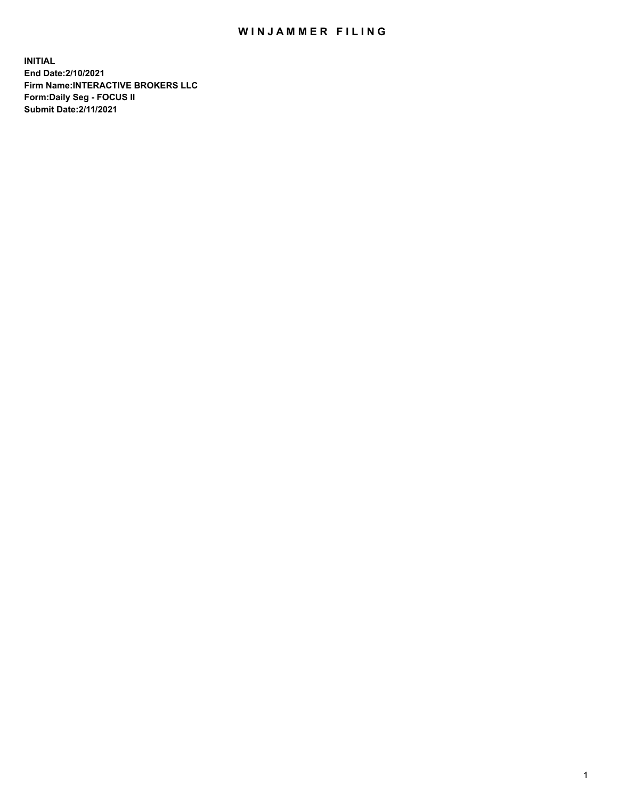## WIN JAMMER FILING

**INITIAL End Date:2/10/2021 Firm Name:INTERACTIVE BROKERS LLC Form:Daily Seg - FOCUS II Submit Date:2/11/2021**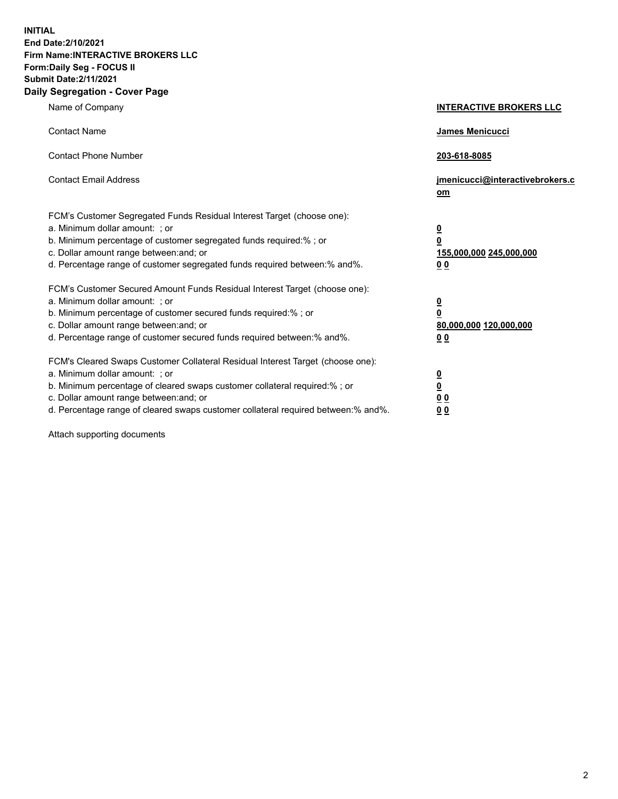**INITIAL End Date:2/10/2021 Firm Name:INTERACTIVE BROKERS LLC Form:Daily Seg - FOCUS II Submit Date:2/11/2021 Daily Segregation - Cover Page**

| Name of Company                                                                                                                                                                                                                                                                                                               | <b>INTERACTIVE BROKERS LLC</b>                                                            |
|-------------------------------------------------------------------------------------------------------------------------------------------------------------------------------------------------------------------------------------------------------------------------------------------------------------------------------|-------------------------------------------------------------------------------------------|
| <b>Contact Name</b>                                                                                                                                                                                                                                                                                                           | James Menicucci                                                                           |
| <b>Contact Phone Number</b>                                                                                                                                                                                                                                                                                                   | 203-618-8085                                                                              |
| <b>Contact Email Address</b>                                                                                                                                                                                                                                                                                                  | jmenicucci@interactivebrokers.c<br>$om$                                                   |
| FCM's Customer Segregated Funds Residual Interest Target (choose one):<br>a. Minimum dollar amount: ; or<br>b. Minimum percentage of customer segregated funds required:% ; or<br>c. Dollar amount range between: and; or<br>d. Percentage range of customer segregated funds required between: % and %.                      | $\overline{\mathbf{0}}$<br>0<br>155,000,000 245,000,000<br>0 <sub>0</sub>                 |
| FCM's Customer Secured Amount Funds Residual Interest Target (choose one):<br>a. Minimum dollar amount: ; or<br>b. Minimum percentage of customer secured funds required:%; or<br>c. Dollar amount range between: and; or<br>d. Percentage range of customer secured funds required between:% and%.                           | <u>0</u><br>$\overline{\mathbf{0}}$<br>80,000,000 120,000,000<br>00                       |
| FCM's Cleared Swaps Customer Collateral Residual Interest Target (choose one):<br>a. Minimum dollar amount: ; or<br>b. Minimum percentage of cleared swaps customer collateral required:%; or<br>c. Dollar amount range between: and; or<br>d. Percentage range of cleared swaps customer collateral required between:% and%. | <u>0</u><br>$\underline{\mathbf{0}}$<br>$\underline{0}$ $\underline{0}$<br>0 <sub>0</sub> |

Attach supporting documents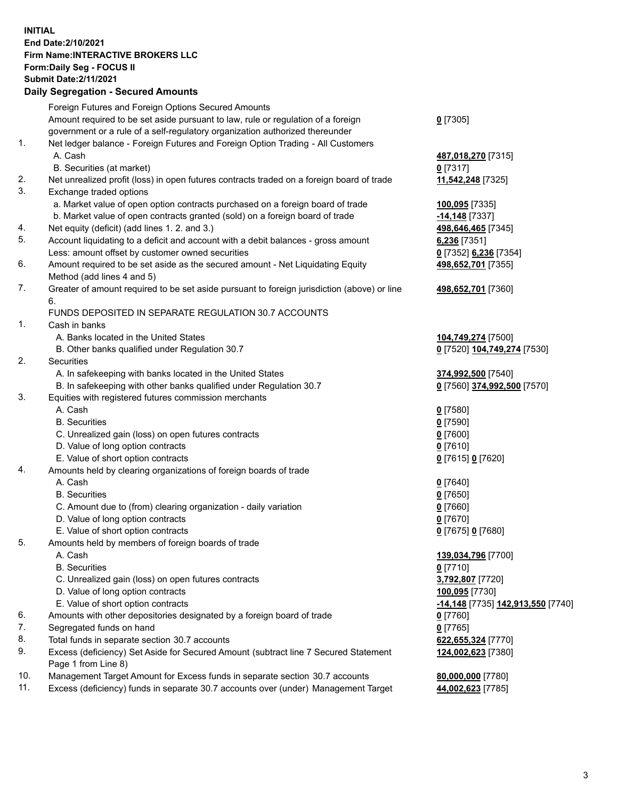## **INITIAL End Date:2/10/2021 Firm Name:INTERACTIVE BROKERS LLC Form:Daily Seg - FOCUS II Submit Date:2/11/2021 Daily Segregation - Secured Amounts**

|     | Daily Segregation - Secured Amounts                                                         |                                   |
|-----|---------------------------------------------------------------------------------------------|-----------------------------------|
|     | Foreign Futures and Foreign Options Secured Amounts                                         |                                   |
|     | Amount required to be set aside pursuant to law, rule or regulation of a foreign            | $0$ [7305]                        |
|     | government or a rule of a self-regulatory organization authorized thereunder                |                                   |
| 1.  | Net ledger balance - Foreign Futures and Foreign Option Trading - All Customers             |                                   |
|     | A. Cash                                                                                     | 487,018,270 [7315]                |
|     | B. Securities (at market)                                                                   | $0$ [7317]                        |
| 2.  | Net unrealized profit (loss) in open futures contracts traded on a foreign board of trade   | 11,542,248 [7325]                 |
| 3.  | Exchange traded options                                                                     |                                   |
|     | a. Market value of open option contracts purchased on a foreign board of trade              | 100,095 [7335]                    |
|     | b. Market value of open contracts granted (sold) on a foreign board of trade                | $-14,148$ [7337]                  |
| 4.  | Net equity (deficit) (add lines 1. 2. and 3.)                                               | 498,646,465 [7345]                |
| 5.  | Account liquidating to a deficit and account with a debit balances - gross amount           | 6,236 [7351]                      |
|     | Less: amount offset by customer owned securities                                            | 0 [7352] 6,236 [7354]             |
| 6.  | Amount required to be set aside as the secured amount - Net Liquidating Equity              | 498,652,701 [7355]                |
|     | Method (add lines 4 and 5)                                                                  |                                   |
| 7.  | Greater of amount required to be set aside pursuant to foreign jurisdiction (above) or line | 498,652,701 [7360]                |
|     | 6.                                                                                          |                                   |
|     | FUNDS DEPOSITED IN SEPARATE REGULATION 30.7 ACCOUNTS                                        |                                   |
| 1.  | Cash in banks                                                                               |                                   |
|     | A. Banks located in the United States                                                       | 104,749,274 [7500]                |
|     | B. Other banks qualified under Regulation 30.7                                              | 0 [7520] 104,749,274 [7530]       |
| 2.  | <b>Securities</b>                                                                           |                                   |
|     | A. In safekeeping with banks located in the United States                                   | 374,992,500 [7540]                |
|     | B. In safekeeping with other banks qualified under Regulation 30.7                          | 0 [7560] 374,992,500 [7570]       |
| 3.  | Equities with registered futures commission merchants                                       |                                   |
|     | A. Cash                                                                                     | $0$ [7580]                        |
|     | <b>B.</b> Securities                                                                        | $0$ [7590]                        |
|     | C. Unrealized gain (loss) on open futures contracts                                         | $0$ [7600]                        |
|     | D. Value of long option contracts                                                           | $0$ [7610]                        |
| 4.  | E. Value of short option contracts                                                          | 0 [7615] 0 [7620]                 |
|     | Amounts held by clearing organizations of foreign boards of trade<br>A. Cash                |                                   |
|     | <b>B.</b> Securities                                                                        | $0$ [7640]<br>$0$ [7650]          |
|     | C. Amount due to (from) clearing organization - daily variation                             | $0$ [7660]                        |
|     | D. Value of long option contracts                                                           | $0$ [7670]                        |
|     | E. Value of short option contracts                                                          | 0 [7675] 0 [7680]                 |
| 5.  | Amounts held by members of foreign boards of trade                                          |                                   |
|     | A. Cash                                                                                     | 139,034,796 [7700]                |
|     | <b>B.</b> Securities                                                                        | $0$ [7710]                        |
|     | C. Unrealized gain (loss) on open futures contracts                                         | 3,792,807 [7720]                  |
|     | D. Value of long option contracts                                                           | 100,095 [7730]                    |
|     | E. Value of short option contracts                                                          | -14,148 [7735] 142,913,550 [7740] |
| 6.  | Amounts with other depositories designated by a foreign board of trade                      | 0 [7760]                          |
| 7.  | Segregated funds on hand                                                                    | $0$ [7765]                        |
| 8.  | Total funds in separate section 30.7 accounts                                               | 622,655,324 [7770]                |
| 9.  | Excess (deficiency) Set Aside for Secured Amount (subtract line 7 Secured Statement         | 124,002,623 [7380]                |
|     | Page 1 from Line 8)                                                                         |                                   |
| 10. | Management Target Amount for Excess funds in separate section 30.7 accounts                 | 80,000,000 [7780]                 |
| 11. | Excess (deficiency) funds in separate 30.7 accounts over (under) Management Target          | 44,002,623 [7785]                 |
|     |                                                                                             |                                   |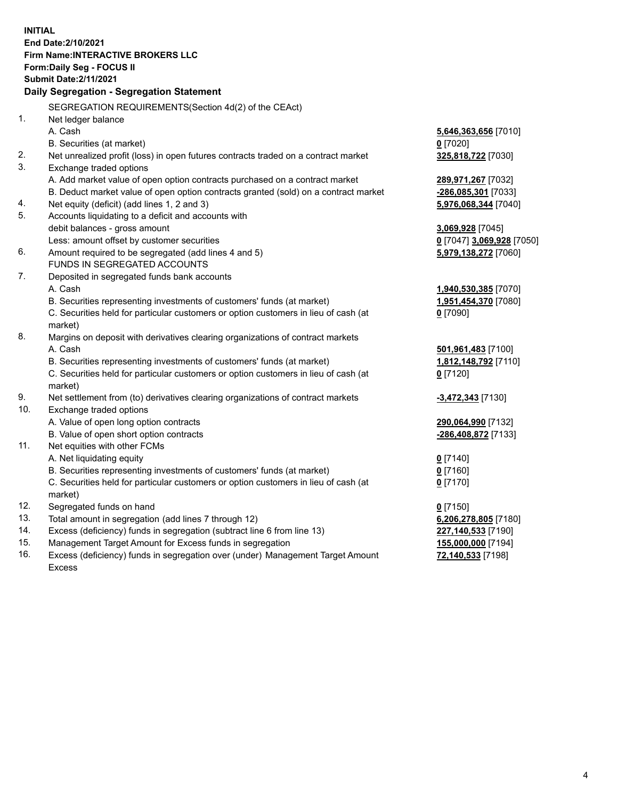**INITIAL End Date:2/10/2021 Firm Name:INTERACTIVE BROKERS LLC Form:Daily Seg - FOCUS II Submit Date:2/11/2021 Daily Segregation - Segregation Statement** SEGREGATION REQUIREMENTS(Section 4d(2) of the CEAct) 1. Net ledger balance A. Cash **5,646,363,656** [7010] B. Securities (at market) **0** [7020] 2. Net unrealized profit (loss) in open futures contracts traded on a contract market **325,818,722** [7030] 3. Exchange traded options A. Add market value of open option contracts purchased on a contract market **289,971,267** [7032] B. Deduct market value of open option contracts granted (sold) on a contract market **-286,085,301** [7033] 4. Net equity (deficit) (add lines 1, 2 and 3) **5,976,068,344** [7040] 5. Accounts liquidating to a deficit and accounts with debit balances - gross amount **3,069,928** [7045] Less: amount offset by customer securities **0** [7047] **3,069,928** [7050] 6. Amount required to be segregated (add lines 4 and 5) **5,979,138,272** [7060] FUNDS IN SEGREGATED ACCOUNTS 7. Deposited in segregated funds bank accounts A. Cash **1,940,530,385** [7070] B. Securities representing investments of customers' funds (at market) **1,951,454,370** [7080] C. Securities held for particular customers or option customers in lieu of cash (at market) **0** [7090] 8. Margins on deposit with derivatives clearing organizations of contract markets A. Cash **501,961,483** [7100] B. Securities representing investments of customers' funds (at market) **1,812,148,792** [7110] C. Securities held for particular customers or option customers in lieu of cash (at market) **0** [7120] 9. Net settlement from (to) derivatives clearing organizations of contract markets **-3,472,343** [7130] 10. Exchange traded options A. Value of open long option contracts **290,064,990** [7132] B. Value of open short option contracts **-286,408,872** [7133] 11. Net equities with other FCMs A. Net liquidating equity **0** [7140] B. Securities representing investments of customers' funds (at market) **0** [7160] C. Securities held for particular customers or option customers in lieu of cash (at market) **0** [7170] 12. Segregated funds on hand **0** [7150] 13. Total amount in segregation (add lines 7 through 12) **6,206,278,805** [7180] 14. Excess (deficiency) funds in segregation (subtract line 6 from line 13) **227,140,533** [7190] 15. Management Target Amount for Excess funds in segregation **155,000,000** [7194]

16. Excess (deficiency) funds in segregation over (under) Management Target Amount Excess

**72,140,533** [7198]